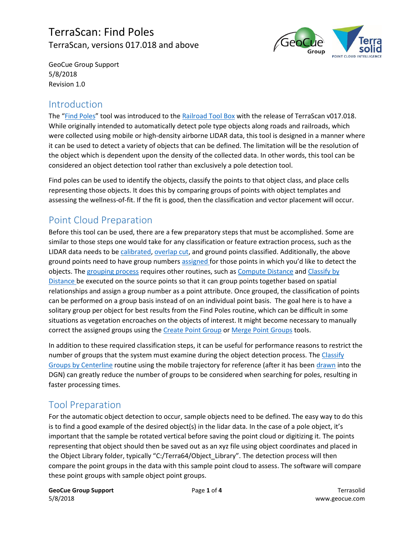# TerraScan: Find Poles TerraScan, versions 017.018 and above



GeoCue Group Support 5/8/2018 Revision 1.0

### Introduction

The "[Find Poles](http://www.terrasolid.com/guides/tscan/index.html?toolfindpoles.php)" tool was introduced to th[e Railroad Tool Box](http://www.terrasolid.com/guides/tscan/index.html?introroadsrailroads.php) with the release of TerraScan v017.018. While originally intended to automatically detect pole type objects along roads and railroads, which were collected using mobile or high-density airborne LIDAR data, this tool is designed in a manner where it can be used to detect a variety of objects that can be defined. The limitation will be the resolution of the object which is dependent upon the density of the collected data. In other words, this tool can be considered an object detection tool rather than exclusively a pole detection tool.

Find poles can be used to identify the objects, classify the points to that object class, and place cells representing those objects. It does this by comparing groups of points with object templates and assessing the wellness-of-fit. If the fit is good, then the classification and vector placement will occur.

# Point Cloud Preparation

Before this tool can be used, there are a few preparatory steps that must be accomplished. Some are similar to those steps one would take for any classification or feature extraction process, such as the LIDAR data needs to b[e calibrated,](http://www.terrasolid.com/guides/tmatch/index.html?mls-project-workflow.php) [overlap cut,](http://www.terrasolid.com/guides/tscan/index.html?mwcutoverlap.php) and ground points classified. Additionally, the above ground points need to have group numbers [assigned](http://www.terrasolid.com/guides/tscan/index.html?mwassigngroups.php) for those points in which you'd like to detect the objects. Th[e grouping process](http://support.geocue.com/terrascan-classify-groups/) requires other routines, such a[s Compute Distance](http://www.terrasolid.com/guides/tscan/index.html?mwcomputedistance.php) and Classify by [Distance](http://www.terrasolid.com/guides/tscan/index.html?crbydistance.php) be executed on the source points so that it can group points together based on spatial relationships and assign a group number as a point attribute. Once grouped, the classification of points can be performed on a group basis instead of on an individual point basis. The goal here is to have a solitary group per object for best results from the Find Poles routine, which can be difficult in some situations as vegetation encroaches on the objects of interest. It might become necessary to manually correct the assigned groups using th[e Create Point Group](http://www.terrasolid.com/guides/tscan/index.html?create-point-group.php) o[r Merge Point Groups](http://www.terrasolid.com/guides/tscan/index.html?merge-point-groups.php) tools.

In addition to these required classification steps, it can be useful for performance reasons to restrict the number of groups that the system must examine during the object detection process. The [Classify](http://www.terrasolid.com/guides/tscan/index.html?crbycenterlinegroup.php)  [Groups by Centerline](http://www.terrasolid.com/guides/tscan/index.html?crbycenterlinegroup.php) routine using the mobile trajectory for reference (after it has been [drawn](http://www.terrasolid.com/guides/tscan/index.html?trjdrawintodesign.php) into the DGN) can greatly reduce the number of groups to be considered when searching for poles, resulting in faster processing times.

### Tool Preparation

For the automatic object detection to occur, sample objects need to be defined. The easy way to do this is to find a good example of the desired object(s) in the lidar data. In the case of a pole object, it's important that the sample be rotated vertical before saving the point cloud or digitizing it. The points representing that object should then be saved out as an xyz file using object coordinates and placed in the Object Library folder, typically "C:/Terra64/Object\_Library". The detection process will then compare the point groups in the data with this sample point cloud to assess. The software will compare these point groups with sample object point groups.

**GeoCue Group Support Contract Page 1** of 4 Terrasolid 5/8/2018 www.geocue.com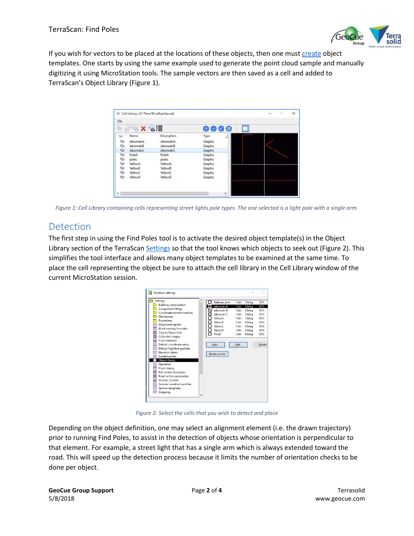

If you wish for vectors to be placed at the locations of these objects, then one must [create](http://www.terrasolid.com/guides/tscan/index.html?setobjectlibrary.php) object templates. One starts by using the same example used to generate the point cloud sample and manually digitizing it using MicroStation tools. The sample vectors are then saved as a cell and added to TerraScan's Object Library [\(Figure 1\)](#page-1-0).

| File              |           |             |                     |  |
|-------------------|-----------|-------------|---------------------|--|
| 躲                 | ® × ಠಿ:ಕ  |             | $\bullet$<br>但<br>C |  |
| $\checkmark$<br>G | Name      | Description | Type<br>А           |  |
| $\circledcirc$    | JakomakiA | JakomakiA   | Graphic             |  |
| Ó                 | JakomakiB | JakomakiB   | Graphic             |  |
| $\circledcirc$    | JakomakiC | JakomakiC   | Graphic             |  |
| Ó                 | PoleA     | PoleA       | Graphic             |  |
| Ø                 | polec     | polec       | Graphic             |  |
| Ó                 | YellowA   | YellowA     | Graphic             |  |
| $\circledcirc$    | YellowB   | YellowB     | Graphic             |  |
| ନ                 | YellowC   | YellowC     | Graphic             |  |
| া                 | YellowD   | YellowD     | Graphic             |  |
|                   |           |             |                     |  |

<span id="page-1-0"></span>*Figure 1: Cell Library containing cells representing street lights pole types. The one selected is a light pole with a single arm.*

## Detection

The first step in using the Find Poles tool is to activate the desired object template(s) in the Object Library section of the TerraScan [Settings](http://www.terrasolid.com/guides/tscan/index.html?toolsettings.php) so that the tool knows which objects to seek out [\(Figure 2\)](#page-1-1). This simplifies the tool interface and allows many object templates to be examined at the same time. To place the cell representing the object be sure to attach the cell library in the Cell Library window of the current MicroStation session.



*Figure 2: Select the cells that you wish to detect and place*

<span id="page-1-1"></span>Depending on the object definition, one may select an alignment element (i.e. the drawn trajectory) prior to running Find Poles, to assist in the detection of objects whose orientation is perpendicular to that element. For example, a street light that has a single arm which is always extended toward the road. This will speed up the detection process because it limits the number of orientation checks to be done per object.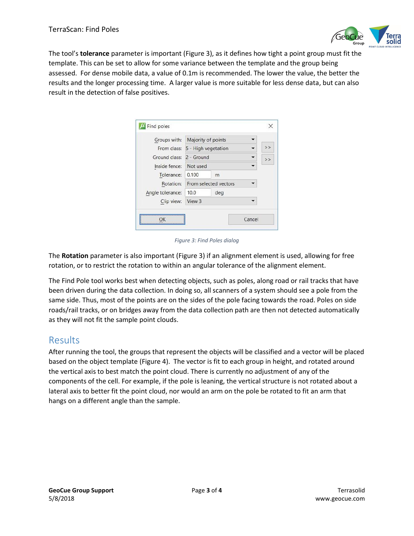

The tool's **tolerance** parameter is important [\(Figure 3\)](#page-2-0), as it defines how tight a point group must fit the template. This can be set to allow for some variance between the template and the group being assessed. For dense mobile data, a value of 0.1m is recommended. The lower the value, the better the results and the longer processing time. A larger value is more suitable for less dense data, but can also result in the detection of false positives.

| Groups with:             | Majority of points              |     |   |  |
|--------------------------|---------------------------------|-----|---|--|
|                          | From class: 5 - High vegetation |     | > |  |
| Ground class: 2 - Ground |                                 |     | > |  |
| Inside fence:            | Not used                        |     |   |  |
| Tolerance:               | 0.100                           | m   |   |  |
| Rotation:                | From selected vectors           |     |   |  |
| Angle tolerance:         | 10.0                            | deg |   |  |
| Clip view:               | View 3                          |     |   |  |

*Figure 3: Find Poles dialog*

<span id="page-2-0"></span>The **Rotation** parameter is also important [\(Figure 3\)](#page-2-0) if an alignment element is used, allowing for free rotation, or to restrict the rotation to within an angular tolerance of the alignment element.

The Find Pole tool works best when detecting objects, such as poles, along road or rail tracks that have been driven during the data collection. In doing so, all scanners of a system should see a pole from the same side. Thus, most of the points are on the sides of the pole facing towards the road. Poles on side roads/rail tracks, or on bridges away from the data collection path are then not detected automatically as they will not fit the sample point clouds.

#### Results

After running the tool, the groups that represent the objects will be classified and a vector will be placed based on the object template [\(Figure 4\)](#page-3-0). The vector is fit to each group in height, and rotated around the vertical axis to best match the point cloud. There is currently no adjustment of any of the components of the cell. For example, if the pole is leaning, the vertical structure is not rotated about a lateral axis to better fit the point cloud, nor would an arm on the pole be rotated to fit an arm that hangs on a different angle than the sample.